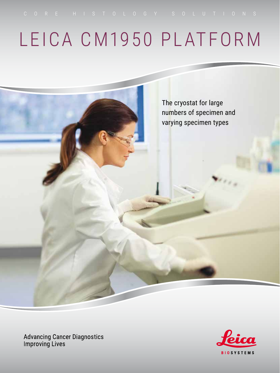# LEICA CM1950 PLATFORM

The cryostat for large

numbers of specimen and

varying specimen types

**Advancing Cancer Diagnostics Improving Lives** 

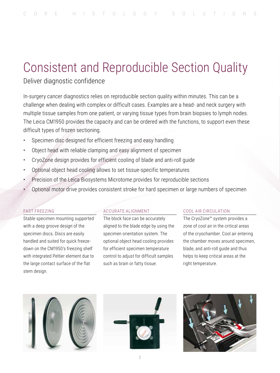## Consistent and Reproducible Section Quality

## Deliver diagnostic confidence

In-surgery cancer diagnostics relies on reproducible section quality within minutes. This can be a challenge when dealing with complex or difficult cases. Examples are a head- and neck surgery with multiple tissue samples from one patient, or varying tissue types from brain biopsies to lymph nodes. The Leica CM1950 provides the capacity and can be ordered with the functions, to support even these difficult types of frozen sectioning.

- Specimen disc designed for efficient freezing and easy handling
- Object head with reliable clamping and easy alignment of specimen
- CryoZone design provides for efficient cooling of blade and anti-roll guide
- Optional object head cooling allows to set tissue-specific temperatures
- Precision of the Leica Biosystems Microtome provides for reproducible sections
- Optional motor drive provides consistent stroke for hard specimen or large numbers of specimen

## FAST FREEZING

Stable specimen mounting supported with a deep groove design of the specimen discs. Discs are easily handled and suited for quick freezedown on the CM1950's freezing shelf with integrated Peltier element due to the large contact surface of the flat stem design.

## ACCURATE ALIGNMENT

The block face can be accurately aligned to the blade edge by using the specimen orientation system. The optional object head cooling provides for efficient specimen temperature control to adjust for difficult samples such as brain or fatty tissue.

## COOL AIR CIRCULATION

The CryoZone™ system provides a zone of cool air in the critical areas of the cryochamber. Cool air entering the chamber moves around specimen, blade, and anti-roll guide and thus helps to keep critical areas at the right temperature.





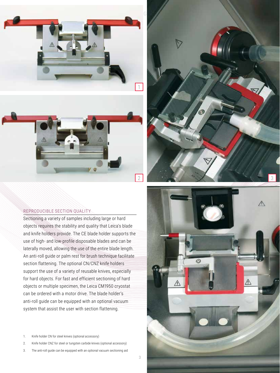



## REPRODUCIBLE SECTION QUALITY

Sectioning a variety of samples including large or hard objects requires the stability and quality that Leica's blade and knife holders provide. The CE blade holder supports the use of high- and low-profile disposable blades and can be laterally moved, allowing the use of the entire blade length. An anti-roll guide or palm rest for brush technique facilitate section flattening. The optional CN/CNZ knife holders support the use of a variety of reusable knives, especially for hard objects. For fast and efficient sectioning of hard objects or multiple specimen, the Leica CM1950 cryostat can be ordered with a motor drive. The blade holder's anti-roll guide can be equipped with an optional vacuum system that assist the user with section flattening.

- 1. Knife holder CN for steel knives (optional accessory)
- 2. Knife holder CNZ for steel or tungsten carbide knives (optional accessory)
- 3. The anti-roll guide can be equipped with an optional vacuum sectioning aid



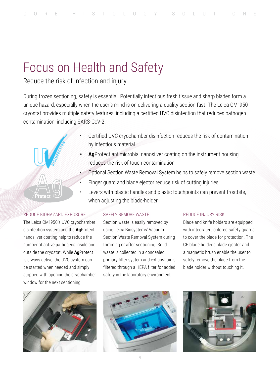## Focus on Health and Safety

## Reduce the risk of infection and injury

During frozen sectioning, safety is essential. Potentially infectious fresh tissue and sharp blades form a unique hazard, especially when the user's mind is on delivering a quality section fast. The Leica CM1950 cryostat provides multiple safety features, including a certified UVC disinfection that reduces pathogen contamination, including SARS-CoV-2.



- Certified UVC cryochamber disinfection reduces the risk of contamination by infectious material
- **• Ag**Protect antimicrobial nanosilver coating on the instrument housing reduces the risk of touch contamination
- Optional Section Waste Removal System helps to safely remove section waste
- Finger guard and blade ejector reduce risk of cutting injuries
- Levers with plastic handles and plastic touchpoints can prevent frostbite, when adjusting the blade-holder

## REDUCE BIOHAZARD EXPOSURE

The Leica CM1950's UVC cryochamber disinfection system and the **Ag**Protect nanosilver coating help to reduce the number of active pathogens inside and outside the cryostat. While **Ag**Protect is always active, the UVC system can be started when needed and simply stopped with opening the cryochamber window for the next sectioning.

## SAFELY REMOVE WASTE

Section waste is easily removed by using Leica Biosystems' Vacuum Section Waste Removal System during trimming or after sectioning. Solid waste is collected in a concealed primary filter system and exhaust air is filtered through a HEPA filter for added safety in the laboratory environment.

## REDUCE INJURY RISK

Blade and knife holders are equipped with integrated, colored safety guards to cover the blade for protection. The CE blade holder's blade ejector and a magnetic brush enable the user to safely remove the blade from the blade holder without touching it.





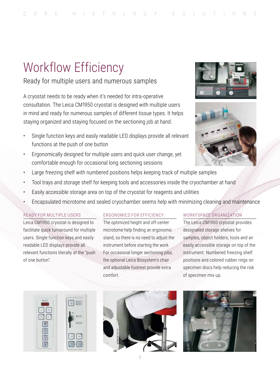## Workflow Efficiency

## Ready for multiple users and numerous samples

A cryostat needs to be ready when it's needed for intra-operative consultation. The Leica CM1950 cryostat is designed with multiple users in mind and ready for numerous samples of different tissue types. It helps staying organized and staying focused on the sectioning job at hand.

- Single function keys and easily readable LED displays provide all relevant functions at the push of one button
- Ergonomically designed for multiple users and quick user change, yet comfortable enough for occasional long sectioning sessions
- Large freezing shelf with numbered positions helps keeping track of multiple samples
- Tool trays and storage shelf for keeping tools and accessories inside the cryochamber at hand
- Easily accessible storage area on top of the cryostat for reagents and utilities
- Encapsulated microtome and sealed cryochamber seems help with minimizing cleaning and maintenance

## READY FOR MULTIPLE USERS

Leica CM1950 cryostat is designed to facilitate quick turnaround for multiple users. Single function keys and easily readable LED displays provide all relevant functions literally at the "push of one button".

## ERGONOMICS FOR EFFICIENCY

The optimized height and off-center microtome help finding an ergonomic stand, so there is no need to adjust the instrument before starting the work. For occasional longer sectioning jobs, the optional Leica Biosystem's chair and adjustable footrest provide extra comfort.

## WORKFSPACE ORGANIZATION

The Leica CM1950 cryostat provides designated storage shelves for samples, object holders, tools and an easily accessible storage on top of the instrument. Numbered freezing shelf positions and colored rubber rings on specimen discs help reducing the risk of specimen mix-up.







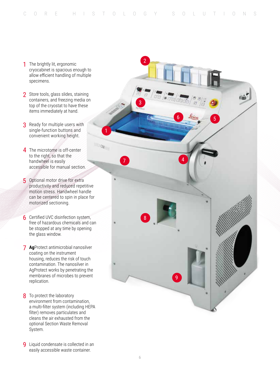- cryocabinet is spacious enough to allow efficient handling of multiple specimens.
- 2 Store tools, glass slides, staining containers, and freezing media on top of the cryostat to have these items immediately at hand.
- **3** Ready for multiple users with single-function buttons and convenient working height.
- 4 The microtome is off-center to the right, so that the handwheel is easily accessible for manual section.
- 5 Optional motor drive for extra productivity and reduced repetitive motion stress. Handwheel handle can be centered to spin in place for motorized sectioning.
- **6** Certified UVC disinfection system, free of hazardous chemicals and can be stopped at any time by opening the glass window.
- **Ag**Protect antimicrobial nanosilver 7 coating on the instrument housing, reduces the risk of touch contamination. The nanosilver in AgProtect works by penetrating the membranes of microbes to prevent replication.
- 8 To protect the laboratory environment from contamination, a multi-filter system (including HEPA filter) removes particulates and cleans the air exhausted from the optional Section Waste Removal System.
- **9** Liquid condensate is collected in an easily accessible waste container.

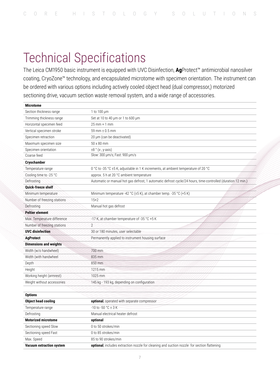## Technical Specifications

The Leica CM1950 basic instrument is equipped with UVC Disinfection, **Ag**Protect™ antimicrobial nanosilver coating, CryoZone™ technology, and encapsulated microtome with specimen orientation. The instrument can be ordered with various options including actively cooled object head (dual compressor,) motorized sectioning drive, vacuum section waste removal system, and a wide range of accessories.

| <b>Microtome</b>                |                                                                                                             |
|---------------------------------|-------------------------------------------------------------------------------------------------------------|
| Section thickness range         | 1 to 100 $\mu$ m                                                                                            |
| Trimming thickness range        | Set at 10 to 40 µm or 1 to 600 µm                                                                           |
| Horizontal specimen feed        | $25$ mm + 1 mm                                                                                              |
| Vertical specimen stroke        | 59 mm ± 0.5 mm                                                                                              |
| Specimen retraction             | 20 µm (can be deactivated)                                                                                  |
| Maximum specimen size           | 50 x 80 mm                                                                                                  |
| Specimen orientation            | $\pm 8$ ° (x-, y-axis)                                                                                      |
| Coarse feed                     | Slow: 300 µm/s; Fast: 900 µm/s                                                                              |
| Cryochamber                     |                                                                                                             |
| Temperature range               | 0 °C to -35 °C ±5 K, adjustable in 1 K increments, at ambient temperature of 20 °C                          |
| Cooling time to -25 °C          | approx. 5 h at 20 °C ambient temperature                                                                    |
| Defrosting                      | Automatic or manual hot gas defrost, 1 automatic defrost cycle/24 hours, time-controlled (duration 12 min.) |
| Quick-freeze shelf              |                                                                                                             |
| Minimum temperature             | Minimum temperature -42 °C ( $\pm$ 5 K), at chamber temp. -35 °C (+5 K)                                     |
| Number of freezing stations     | $15 + 2$                                                                                                    |
| Defrosting                      | Manual hot gas defrost                                                                                      |
| <b>Peltier element</b>          |                                                                                                             |
| Max. Temperature difference     | -17 K, at chamber temperature of -35 °C +5 K                                                                |
| Number of freezing stations     | $\overline{2}$                                                                                              |
| <b>UVC</b> disinfection         | 30 or 180 minutes, user selectable                                                                          |
| <b>AgProtect</b>                | Permanently applied to instrument housing surface                                                           |
| <b>Dimensions and weights</b>   |                                                                                                             |
| Width (w/o handwheel)           | 700 mm                                                                                                      |
| Width (with handwheel           | 835 mm                                                                                                      |
| Depth                           | 850 mm                                                                                                      |
| Height                          | 1215 mm                                                                                                     |
| Working height (armrest)        | 1025 mm                                                                                                     |
| Weight without accessories      | 145 kg - 193 kg, depending on configuration                                                                 |
|                                 |                                                                                                             |
| <b>Options</b>                  |                                                                                                             |
| <b>Object head cooling</b>      | optional, operated with separate compressor                                                                 |
| Temperature range               | $-10$ to $-50$ °C $\pm$ 3 K                                                                                 |
| Defrosting                      | Manual electrical heater defrost                                                                            |
| <b>Motorized microtome</b>      | optional                                                                                                    |
| Sectioning speed Slow           | 0 to 50 strokes/min                                                                                         |
| Sectioning speed Fast           | 0 to 85 strokes/min                                                                                         |
| Max. Speed                      | 85 to 90 strokes/min                                                                                        |
| <b>Vacuum extraction system</b> | <b>optional</b> , includes extraction nozzle for cleaning and suction nozzle for section flattening         |